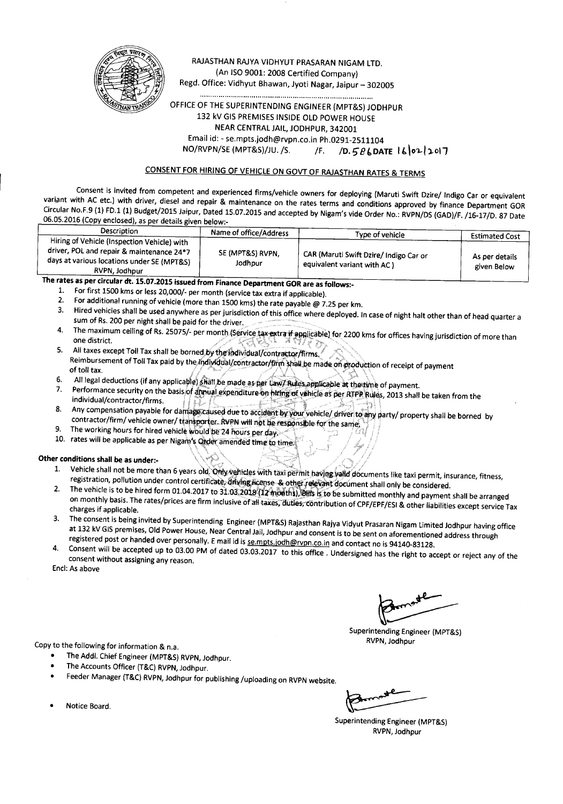

#### RAJASTHAN RAJYA VIDHYUT PRASARAN NIGAM LTD. (An ISO 9001: 2008 Certified Company) Regd. Office: Vidhyut Bhawan, Jyoti Nagar, Jaipur - 302005

.................................................................................... OFFICE OF THE SUPERINTENDING ENGINEER (MPT&S) JODHPUR 132 kV GIS PREMISES INSIDE OLD POWER HOUSE NEAR CENTRAL JAIL, JODHPUR, 342001 Email id:-se.mpts.jodh@rvpn.co.in Ph.0291-2511104 NO/RVPN/SE (MPT&S)/JU. /S. /F. /D. 586DATE  $160212017$ 

#### CONSENT FOR HIRING OF VEHICLE ON GOVT OF RAJASTHAN RATES & TERMS

Consent is invited from competent and experienced firms/vehicle owners for deploying (Maruti Swift Dzire/ Indigo Car or equivalent variant with AC etc.) with driver, diesel and repair & maintenance on the rates terms and conditions approved by finance Department GOR Circular No.F.9 (1) FD.1 (1) Budget/2015 Jaipur, Dated 15.07.2015 and accepted by Nigam's vide Order No.: RVPN/DS (GAD)/F. /16-17/D. 87 Date 06.05.2016 (Copy enclosed), as per details given below:-

| Description                                                                                                                                             | Name of office/Address      | Type of vehicle                                                        | <b>Estimated Cost</b>         |
|---------------------------------------------------------------------------------------------------------------------------------------------------------|-----------------------------|------------------------------------------------------------------------|-------------------------------|
| Hiring of Vehicle (Inspection Vehicle) with<br>driver, POL and repair & maintenance 24*7<br>days at various locations under SE (MPT&S)<br>RVPN, Jodhpur | SE (MPT&S) RVPN.<br>Jodhpur | CAR (Maruti Swift Dzire/ Indigo Car or<br>equivalent variant with AC ) | As per details<br>given Below |
| The rates as not simular de. 45.07.3045 : $\frac{1}{\sqrt{2}}$                                                                                          |                             |                                                                        |                               |

rates as per circular dt. 15.07.2015 issued from Finance Department GOR are as follows:-<br>1. For first 1500 kms or less 20.000/- per month (conise tax autre if analizable)

- 1. For first 1500 kms or less 20,000/- per month (service tax extra if applicable).<br>2. For additional running of vehicle (more than 1500 kms) the rate naughla  $\odot$ .
- 2. For additional running of vehicle (more than 1500 kms) the rate payable  $\omega$  7.25 per km.<br>3. Hired vehicles shall be used anywhere as nor jurisdiction of this office where deals as the
- 3. Hired vehicles shall be used anywhere as per jurisdiction of this office where deployed. In case of night halt other than of head quarter a sum of Rs. 200 per night shall be paid for the driver.
- 4. The maximum ceiling of Rs. 25075/- per month (Service tax extra if applicable) for 2200 kms for offices having jurisdiction of more than one district.<br>5. All taxes except Toll Tax shall be borned.by the individual/contractor/firms.
- Neimbursement of Toll Tax paid by the individual/contractor/firm shall be made on production of receipt of paymen<br>of toll tax.
- 6. All legal deductions (if any applicable) shall be made as per law? Rules applicable at the time of payment.
- Ferformance security on the basis of annual expenditure on hting of vehicle as per RTPR Rujes, 2013 shall be taken from the individual/contractor/firms.
- 8. Any compensation payable for damage caused due to accident by your vehicle/ driver to any party/ property shall be borned by contractor/firm/ vehicle owner/ ttansporter. RVPN will not be responsible for the same,
- 9. The working hours for hired vehicle would be 24 hours per day.
- 10. rates will be applicable as per Nigam's Order amended time to time.

#### Other conditions shall be as under:- $\text{Concl}$  conditions shall be as under:-  $\text{Supp}(\mathbb{Z})$  .  $\text{Supp}(\mathbb{Z})$  .  $\text{Supp}(\mathbb{Z})$  ,  $\text{Supp}(\mathbb{Z})$  ,  $\text{Supp}(\mathbb{Z})$  ,  $\text{Supp}(\mathbb{Z})$  ,  $\text{Supp}(\mathbb{Z})$  ,  $\text{Supp}(\mathbb{Z})$  ,  $\text{Supp}(\mathbb{Z})$  ,  $\text{Supp}(\mathbb{Z})$  ,  $\text{Supp}(\mathbb{$

- 1. Vehicle shall not be more than 6 years old. Unit vehicles with taxi permit having valid documents like taxi permit, insurance, fitness registration, pollution under control certificate. diving license. & other relevant document shall only be considered.
- 2. The vehicle is to be hired form 01.04.2017 to 31.03.2018 (12 modths), bits is to be submitted monthly and payment shall be arranged on monthly basis. The rates/prices are firm inclusive of all taxes, duties, contribution of CPF/EPF/ESI & other liabilities except service Tax charges if applicable.
- 3. The consent is being invited by Superintending Engineer (MPT&S) Rajasthan Rajya Vidyut Prasaran Nigam Limited Jodhpur having office at 132 kV GIS premises, Old Power House, Near Central Jail, Jodhpur and consent is to be sent on aforementioned address through registered post or handed over personally. E mail id is sempts.jodh@rvpn.co.in and contact no is 94140-83128.
- 4. Consent will be accepted up to 03.00 PM of dated 03.03.2017 to this office. Undersigned has the right to accept or reject any of the consent without assigning any reason.

Encl: As above

Copy to the following for information & n.a.

- The Add!. Chief Engineer (MPT&S) RVPN, Jodhpur.
- The Accounts Officer (T&C) RVPN, Jodhpur.
- Feeder Manager (T&C) RVPN, Jodhpur for publishing /uploading on RVPN website.

Superintending Engineer (MPT&S) RVPN, Jodhpur

Superintending Engineer (MPT&S) RVPN, Jodhpur

• Notice Board.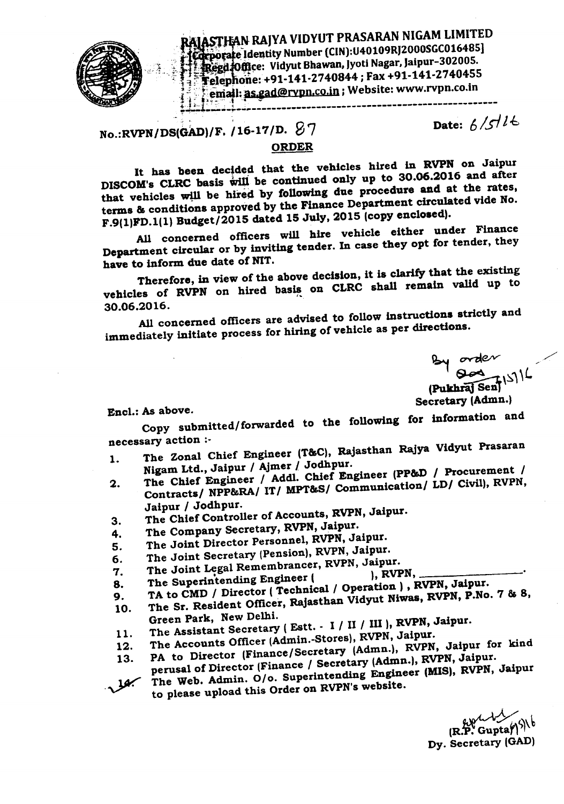

RAJASTHAN RAJYA VIDYUT PRASARAN NIGAM LIMITED Edeporate Identity Number (CIN):U40109RJ2000SGC016485] **Regd Office: Vidyut Bhawan, Jyoti Nagar, Jaipur-302005.** Telephone: +91-141-2740844; Fax +91-141-2740455 email: as.gad@rypn.co.in; Website: www.rvpn.co.in +,,~,,,., ", <sup>&</sup>lt; : ~~-~~----~--~-------------------------------------------------

Date:  $6/5/16$ 

 $No.:RVPN/DS(GAD)/F.$ /16-17/D.  $87$ 

### ORDER

It has been decided that the vehicles hired in RVPN on Jaipur DISCOM's CLRC basis will be continued only up to 30.06.2016 and after that vehicles will be hired by following due procedure and at the rates, terms & conditions approved by the Finance Department circulated vide Ho. F.9(1)FD.1(1) Budget/2015 dated 15 July, 2015 (copy enclosed).

All concerned officers will hire vehicle either under Finance Department circular or by inviting tender. In case they opt for tender, they have to inform due date of NIT.

Therefore, in view of the above decision, it is clarify that the existing vehicles of RVPN on hired basis on CLRC shall remain valid up to  $30.06.2016.$ 

All concerned officers are advised to follow instructions strictly and immediately initiate process for hiring of vehicle as per directions.

~ ov-rAe;v -: **Pukhrai** Sen

Encl.: As above. Secretary (Admn.)

Copy submitted/forwarded to the following for information and necessary action :-

- 1. The Zonal Chief Engineer (T&C), Rajasthan Rajya Vidyut Prasaran NigamLtd., Jaipur / Ajmer*I* Jodhpur.
- 2. The Chief Engineer / Addl. Chief Engineer (PP&D / Procurement /  $2.$  The Chief Engineer ( $2.$  Communication/ LD/ Civil), RVPN,
- Contracts/ NPP&RA/ IT/ MPT&S/ Communication/ LD/ Civil), RVPN, Jaipur / Jodhpur.
- 3. The Chief Controller of Accounts, RVPN, Jaipur.
- 4. The Company Secretary, RVPN, Jaipur.
- 5. The Joint Director Personnel, RVPN, Jaipur.
- 6. The Joint Secretary (Pension), RVPN, Jaipur.
- 
- 7. The Joint Legal Remembrancer, RVPN, Jaipur.<br>8. The Superintending Engineer (etc.), RVPN,  $\begin{array}{c} \text{R.} \\ \text{R.} \\ \text{R.} \end{array}$  The Superintending Engineer ( ), RVPN,  $\begin{array}{c} \text{R.} \\ \text{R.} \end{array}$
- $\sigma$ . The supermediates  $\sigma$  (Technical / Operation), RVPN, Jaipur.
- 9. TA to CMD / Director reconnuous / Operations / The Sr. Resident Officer, Rajasthan Vidyut Niwas, RVPN, P.No. 7 & 8,<br>10. The Sr. Resident Officer, Rajasthan Vidyut Niwas, RVPN, P.No. 7 & 8,
	- Green Park, New Delhi.
- 11. The Assistant Secretary (Estt. I / II / III ), RVPN, Jaipur.
- 12. The Accounts Officer (Admin.-Stores), RVPN, Jaipur.
- 13. PA to Director (Finance/Secretary (Admn.), RVPN, Jaipur for kind<br>(Secretary (Admn.), RVPN, Jaipur. perusal of Director (Finance / Secretary (Admn.), RVPN, Jaipur.
- The Web. Admin. 0/0. Superintending Engineer (MIS), RVPN, Jaipur to please upload this Order on RVPN's website.

(R. $\bm{\tilde{\mathrm{F}}}$ : Gup Dy. Secretary (GAD)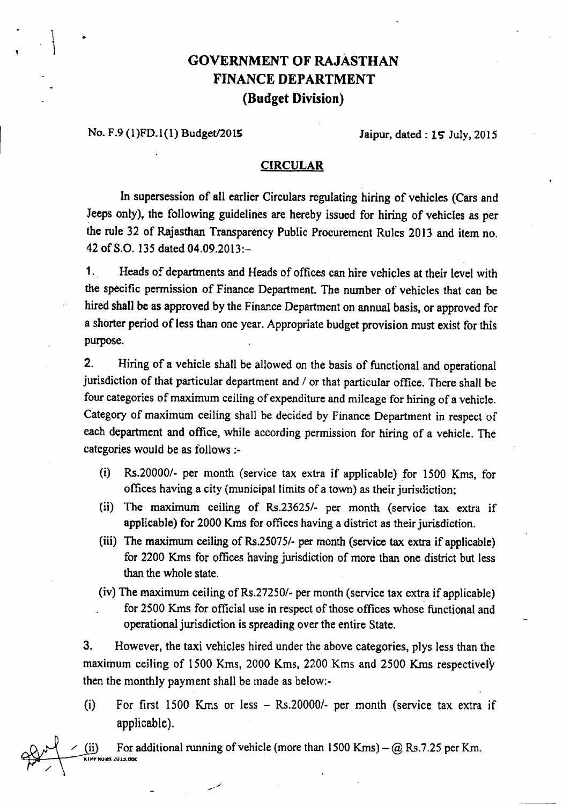# GOVERNMENT OF RAJASTHAN FINANCE DEPARTMENT (Budget Division)

### No. F.9 (1)FD.1(1) Budget/2015 Jaipur, dated: 15 July, 2015

..

#### **CIRCULAR**

In supersession of all earlier Circulars regulating hiring of vehicles (Cars and Jeeps only), the following guidelines are hereby issued for hiring of vehicles as per the rule 32 of Rajasthan Transparency Public Procurement Rules 2013 and item no. 42 ofS.O. 135 dated 04.09.2013:-

1. Heads of departments and Heads of offices can hire vehicles at their level with the specific permission of Finance Department. The number of vehicles that can be hired shall be as approved by the Finance Department on annual basis, or approved for a shorter period of less than one year. Appropriate budget provision must exist for this purpose.

2. Hiring of a vehicle shall be allowed on the basis of functional and operational jurisdiction of that particular department and *I* or that particular office. There shall be four categories of maximum ceiling of expenditure and mileage for hiring of a vehicle. Category of maximum ceiling shall be decided by Finance Department in respect of each department and office, while according permission for hiring of a vehicle. The categories would be as follows :-

- (i) *Rs.200001-* per month (service tax extra if applicable) for 1500 Kms, for offices having a city (municipal limits of a town) as their jurisdiction;
- (ii) The maximum ceiling of *Rs.236251-* per month (service tax extra if applicable) for 2000 Kms for offices having a district as their jurisdiction.
- (iii) The maximum ceiling of *Rs.250751-* per month (service tax extra if applicable) for 2200 Kms for offices having jurisdiction of more than one district but Jess than the whole state.
- (iv) The maximum ceiling of Rs.27250/- per month (service tax extra if applicable) for 2500 Kms for official use in respect of those offices whose functional and operational jurisdiction is spreading over the entire State.

3. However, the taxi vehicles hired under the above categories, pJys less than the maximum ceiling of 1500 Kms, 2000 Kms, 2200 Kms and 2500 Kms respectively then the monthly payment shall be made as below.-

(i) For first 1500 Krns or less - *Rs.200001-* per month (service tax extra if applicable).

(ii) For additional running of vehicle (more than  $1500$  Kms) - @ Rs.7.25 per Km. xirr Rules Zuls.doc .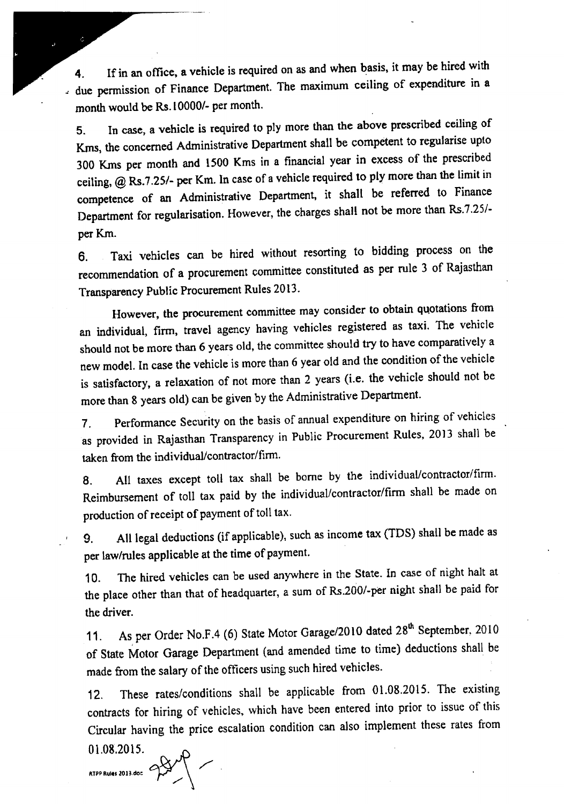4. If in an office. a vehicle is required on as and when basis, it may be hired with - due permission of Finance Department. The maximum ceiling of expenditure in a month would be Rs.I 0000/- per month.

5. In case, a vehicle is required to ply more than the above prescribed ceiling of Kms, the concerned Administrative Department shall be competent to regularise upto 300 Krns per month and lS00 Kms in a financial year in excess of the prescribed ceiling, @ Rs.7.25/- per Km. In case of a vehicle required to ply more than the limit in competence of an Administrative Department, it shall be referred to Finance Department for regularisation. However, the charges shall not be more than Rs.7.25/per Km.

6. Taxi vehicles can be hired without resorting to bidding process on the recommendation of a procurement committee constituted as per rule 3 of Rajasthan Transparency Public Procurement Rules 2013.

However, the procurement committee may consider to obtain quotations from an individual, firm, travel agency having vehicles registered as taxi. The vehicle should not be more than 6 years old, the committee should try to have comparatively a new model. In case the vehicle is more than 6 year old and the condition of the vehicle is satisfactory, a relaxation of not more than 2 years (i.e, the vehicle should not be more than 8 years old) can be given by the Administrative Department.

7. Performance Security on the basis of annual expenditure on hiring of vehicles as provided in Rajasthan Transparency in Public Procurement Rules, 2013 shall be taken from the individual/contractor/finn.

*B.* All taxes except toll tax shall be borne by the individual/contractor/finn. Reimbursement of toll tax paid by the individual/contractor/firm shall be made on production of receipt of payment of toll tax.

9. All legal deductions (if applicable), such as income tax (TDS) shall be made as per law/rules applicable at the time of payment.

10. The hired vehicles can be used anywhere in the State. In case of night halt at the place other than that of headquarter, a sum of Rs.200/-per night shall be paid for the driver.

11. As per Order No.F.4 (6) State Motor Garage/2010 dated 28<sup>th</sup> September, 2010 of State Motor Garage Department (and amended time to time) deductions shall be made from the salary of the officers using such hired vehicles.

12. These rates/conditions shall be applicable from 01.08.2015. The existing contracts for hiring of vehicles. which have been entered into prior to issue of this Circular having the price escalation condition can also implement these rates from

 $01.08.2015$ .  $\left\langle \frac{1}{2} \right\rangle$   $\left\langle \frac{1}{2} \right\rangle$   $\left\langle \frac{1}{2} \right\rangle$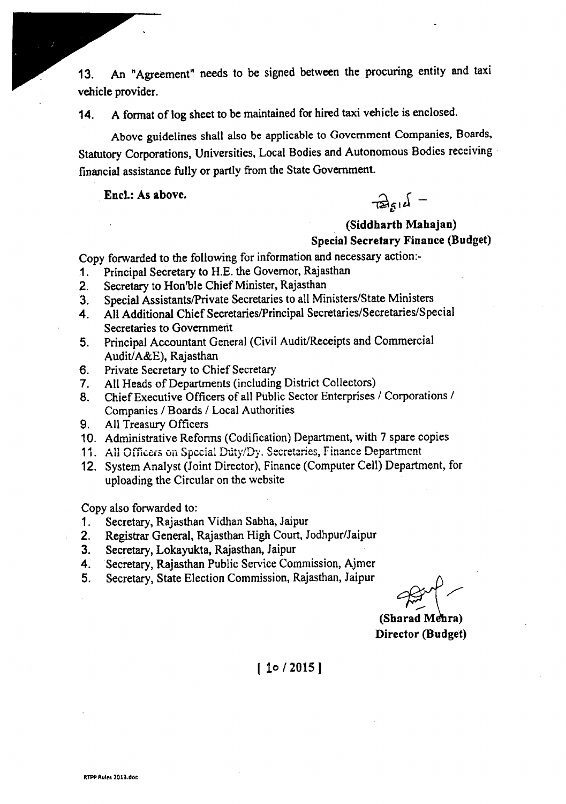13. An "Agreement" needs to be signed between the procuring entity and taxi vehicle provider.

14. A format of log sheet to be maintained for hired taxi vehicle is enclosed.

Above guidelines shall also be applicable to Government Companies, Boards. Statutory Corporations, Universities, Local Bodies and Autonomous Bodies receiving financial assistance fully or partly from the State Government.

Encl.: As above.

 $\frac{1}{\sqrt{2}}\int_{S^1} f(x) dx = 0$ 

## (Siddharth Mahajan) Special Secretary Finance (Budget)

Copy forwarded to the following for information and necessary action-

- 1. Principal Secretary to H.E. the Governor, Rajasthan
- 2. Secretary to Hon'ble Chief Minister, Rajasthan
- 3. Special Assistants/Private Secretaries to all Ministers/State Ministers
- 4. All Additional Chief Secretaries/Principal Secretaries/Secretaries/Special Secretaries to Government
- 5. Principal Accountant General (Civil Audit/Receipts and Commercial Audit/A&E), Rajasthan
- 6. Private Secretary to Chief Secretary
- 7. All Heads of Departments (including District Collectors)
- 8. Chief Executive Officers of all Public Sector Enterprises *I* Corporations *I* Companies / Boards / Local Authorities
- 9. All Treasury Officers
- 10. Administrative Reforms (Codification) Department, with 7 spare copies
- 11. All Officers on Special Duty/Dy. Secretaries, Finance Department
- 12. System Analyst (Joint Director), Finance (Computer Cell) Department, for uploading the Circular on the website

Copy also forwarded to:

- 1. Secretary, Rajasthan Vidhan Sabha, Jaipur
- 2. Registrar General. Rajasthan High Court, Jodhpur/Jaipur
- 3. Secretary, Lokayukta, Rajasthan, Jaipur
- 4. Secretary, Rajasthan Public Service Commission, Ajmer
- 5. Secretary, State Election Commission, Rajasthan, Jaipur ~

(Sharad Mehra) Director (Budget)

 $|10/2015|$